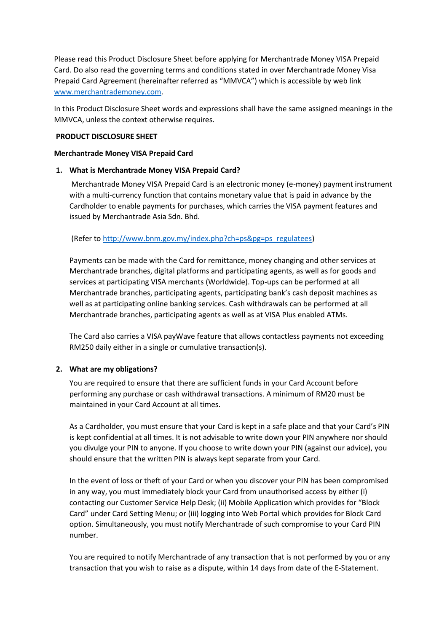Please read this Product Disclosure Sheet before applying for Merchantrade Money VISA Prepaid Card. Do also read the governing terms and conditions stated in over Merchantrade Money Visa Prepaid Card Agreement (hereinafter referred as "MMVCA") which is accessible by web link [www.merchantrademoney.com.](http://www.merchantrademoney.com/)

In this Product Disclosure Sheet words and expressions shall have the same assigned meanings in the MMVCA, unless the context otherwise requires.

## **PRODUCT DISCLOSURE SHEET**

### **Merchantrade Money VISA Prepaid Card**

## **1. What is Merchantrade Money VISA Prepaid Card?**

Merchantrade Money VISA Prepaid Card is an electronic money (e-money) payment instrument with a multi-currency function that contains monetary value that is paid in advance by the Cardholder to enable payments for purchases, which carries the VISA payment features and issued by Merchantrade Asia Sdn. Bhd.

(Refer to [http://www.bnm.gov.my/index.php?ch=ps&pg=ps\\_regulatees\)](http://www.bnm.gov.my/index.php?ch=ps&pg=ps_regulatees)

Payments can be made with the Card for remittance, money changing and other services at Merchantrade branches, digital platforms and participating agents, as well as for goods and services at participating VISA merchants (Worldwide). Top-ups can be performed at all Merchantrade branches, participating agents, participating bank's cash deposit machines as well as at participating online banking services. Cash withdrawals can be performed at all Merchantrade branches, participating agents as well as at VISA Plus enabled ATMs.

The Card also carries a VISA payWave feature that allows contactless payments not exceeding RM250 daily either in a single or cumulative transaction(s).

## **2. What are my obligations?**

You are required to ensure that there are sufficient funds in your Card Account before performing any purchase or cash withdrawal transactions. A minimum of RM20 must be maintained in your Card Account at all times.

As a Cardholder, you must ensure that your Card is kept in a safe place and that your Card's PIN is kept confidential at all times. It is not advisable to write down your PIN anywhere nor should you divulge your PIN to anyone. If you choose to write down your PIN (against our advice), you should ensure that the written PIN is always kept separate from your Card.

In the event of loss or theft of your Card or when you discover your PIN has been compromised in any way, you must immediately block your Card from unauthorised access by either (i) contacting our Customer Service Help Desk; (ii) Mobile Application which provides for "Block Card" under Card Setting Menu; or (iii) logging into Web Portal which provides for Block Card option. Simultaneously, you must notify Merchantrade of such compromise to your Card PIN number.

You are required to notify Merchantrade of any transaction that is not performed by you or any transaction that you wish to raise as a dispute, within 14 days from date of the E-Statement.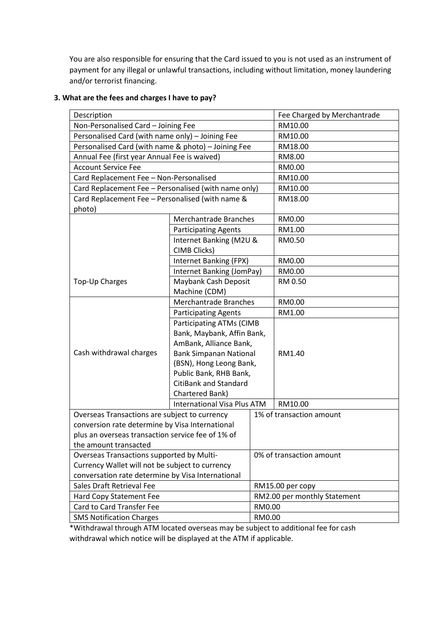You are also responsible for ensuring that the Card issued to you is not used as an instrument of payment for any illegal or unlawful transactions, including without limitation, money laundering and/or terrorist financing.

| Fee Charged by Merchantrade<br>Description                                 |
|----------------------------------------------------------------------------|
| RM10.00<br>Non-Personalised Card - Joining Fee                             |
| Personalised Card (with name only) - Joining Fee<br>RM10.00                |
| Personalised Card (with name & photo) - Joining Fee<br>RM18.00             |
| Annual Fee (first year Annual Fee is waived)<br>RM8.00                     |
| <b>Account Service Fee</b><br>RM0.00                                       |
| Card Replacement Fee - Non-Personalised<br>RM10.00                         |
| Card Replacement Fee - Personalised (with name only)<br>RM10.00            |
| Card Replacement Fee - Personalised (with name &<br>RM18.00                |
| photo)                                                                     |
| Merchantrade Branches<br>RM0.00                                            |
| RM1.00<br><b>Participating Agents</b>                                      |
| Internet Banking (M2U &<br>RM0.50                                          |
| <b>CIMB Clicks)</b>                                                        |
| Internet Banking (FPX)<br>RM0.00                                           |
| Internet Banking (JomPay)<br>RM0.00                                        |
| Maybank Cash Deposit<br>Top-Up Charges<br>RM 0.50                          |
| Machine (CDM)                                                              |
| Merchantrade Branches<br>RM0.00                                            |
| RM1.00<br><b>Participating Agents</b>                                      |
| Participating ATMs (CIMB                                                   |
| Bank, Maybank, Affin Bank,                                                 |
| AmBank, Alliance Bank,                                                     |
| Cash withdrawal charges<br><b>Bank Simpanan National</b><br>RM1.40         |
| (BSN), Hong Leong Bank,                                                    |
| Public Bank, RHB Bank,                                                     |
| CitiBank and Standard                                                      |
| Chartered Bank)                                                            |
| <b>International Visa Plus ATM</b><br>RM10.00                              |
| Overseas Transactions are subject to currency<br>1% of transaction amount  |
| conversion rate determine by Visa International                            |
| plus an overseas transaction service fee of 1% of<br>the amount transacted |
| Overseas Transactions supported by Multi-<br>0% of transaction amount      |
| Currency Wallet will not be subject to currency                            |
| conversation rate determine by Visa International                          |
| Sales Draft Retrieval Fee<br>RM15.00 per copy                              |
| RM2.00 per monthly Statement<br>Hard Copy Statement Fee                    |
| Card to Card Transfer Fee<br>RM0.00                                        |
| <b>SMS Notification Charges</b><br>RM0.00                                  |

# **3. What are the fees and charges I have to pay?**

\*Withdrawal through ATM located overseas may be subject to additional fee for cash withdrawal which notice will be displayed at the ATM if applicable.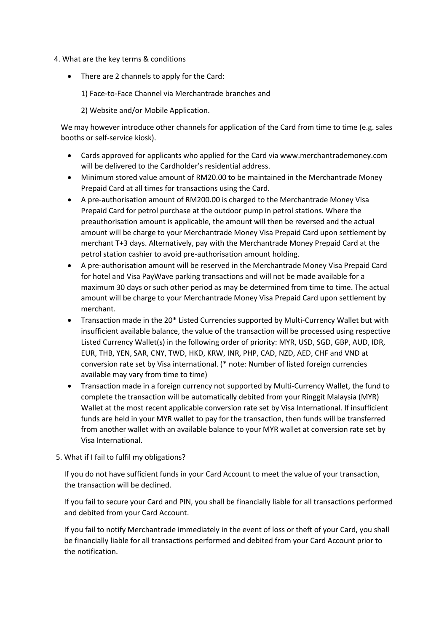- 4. What are the key terms & conditions
	- There are 2 channels to apply for the Card:

1) Face-to-Face Channel via Merchantrade branches and

2) Website and/or Mobile Application.

We may however introduce other channels for application of the Card from time to time (e.g. sales booths or self-service kiosk).

- Cards approved for applicants who applied for the Card via www.merchantrademoney.com will be delivered to the Cardholder's residential address.
- Minimum stored value amount of RM20.00 to be maintained in the Merchantrade Money Prepaid Card at all times for transactions using the Card.
- A pre-authorisation amount of RM200.00 is charged to the Merchantrade Money Visa Prepaid Card for petrol purchase at the outdoor pump in petrol stations. Where the preauthorisation amount is applicable, the amount will then be reversed and the actual amount will be charge to your Merchantrade Money Visa Prepaid Card upon settlement by merchant T+3 days. Alternatively, pay with the Merchantrade Money Prepaid Card at the petrol station cashier to avoid pre-authorisation amount holding.
- A pre-authorisation amount will be reserved in the Merchantrade Money Visa Prepaid Card for hotel and Visa PayWave parking transactions and will not be made available for a maximum 30 days or such other period as may be determined from time to time. The actual amount will be charge to your Merchantrade Money Visa Prepaid Card upon settlement by merchant.
- Transaction made in the 20\* Listed Currencies supported by Multi-Currency Wallet but with insufficient available balance, the value of the transaction will be processed using respective Listed Currency Wallet(s) in the following order of priority: MYR, USD, SGD, GBP, AUD, IDR, EUR, THB, YEN, SAR, CNY, TWD, HKD, KRW, INR, PHP, CAD, NZD, AED, CHF and VND at conversion rate set by Visa international. (\* note: Number of listed foreign currencies available may vary from time to time)
- Transaction made in a foreign currency not supported by Multi-Currency Wallet, the fund to complete the transaction will be automatically debited from your Ringgit Malaysia (MYR) Wallet at the most recent applicable conversion rate set by Visa International. If insufficient funds are held in your MYR wallet to pay for the transaction, then funds will be transferred from another wallet with an available balance to your MYR wallet at conversion rate set by Visa International.
- 5. What if I fail to fulfil my obligations?

If you do not have sufficient funds in your Card Account to meet the value of your transaction, the transaction will be declined.

If you fail to secure your Card and PIN, you shall be financially liable for all transactions performed and debited from your Card Account.

If you fail to notify Merchantrade immediately in the event of loss or theft of your Card, you shall be financially liable for all transactions performed and debited from your Card Account prior to the notification.